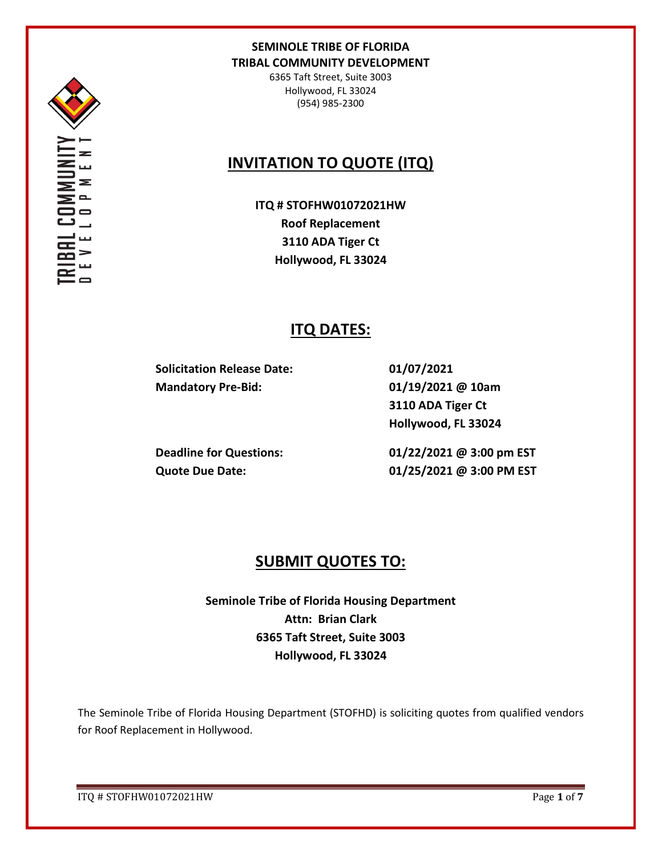

Σ

## **SEMINOLE TRIBE OF FLORIDA TRIBAL COMMUNITY DEVELOPMENT**

6365 Taft Street, Suite 3003 Hollywood, FL 33024 (954) 985-2300

# **INVITATION TO QUOTE (ITQ)**

**ITQ # STOFHW01072021HW Roof Replacement 3110 ADA Tiger Ct Hollywood, FL 33024**

## **ITQ DATES:**

**Solicitation Release Date: Mandatory Pre-Bid:** 

**01/07/2021 01/19/2021 @ 10am 3110 ADA Tiger Ct Hollywood, FL 33024** 

**Deadline for Questions: Quote Due Date:** 

**01/22/2021 @ 3:00 pm EST 01/25/2021 @ 3:00 PM EST**

## **SUBMIT QUOTES TO:**

**Seminole Tribe of Florida Housing Department Attn: Brian Clark 6365 Taft Street, Suite 3003 Hollywood, FL 33024**

The Seminole Tribe of Florida Housing Department (STOFHD) is soliciting quotes from qualified vendors for Roof Replacement in Hollywood.

ITQ # STOFHW01072021HW Page **1** of **7**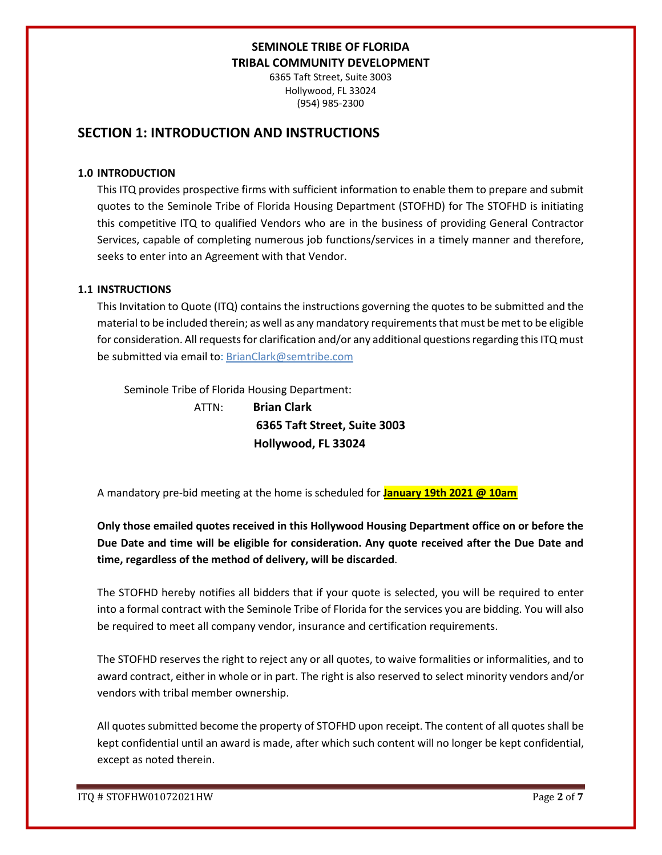6365 Taft Street, Suite 3003 Hollywood, FL 33024 (954) 985-2300

## **SECTION 1: INTRODUCTION AND INSTRUCTIONS**

#### **1.0 INTRODUCTION**

This ITQ provides prospective firms with sufficient information to enable them to prepare and submit quotes to the Seminole Tribe of Florida Housing Department (STOFHD) for The STOFHD is initiating this competitive ITQ to qualified Vendors who are in the business of providing General Contractor Services, capable of completing numerous job functions/services in a timely manner and therefore, seeks to enter into an Agreement with that Vendor.

### **1.1 INSTRUCTIONS**

This Invitation to Quote (ITQ) contains the instructions governing the quotes to be submitted and the material to be included therein; as well as any mandatory requirements that must be met to be eligible for consideration. All requests for clarification and/or any additional questions regarding this ITQ must be submitted via email to: BrianClark@semtribe.com

Seminole Tribe of Florida Housing Department:

 ATTN: **Brian Clark 6365 Taft Street, Suite 3003 Hollywood, FL 33024**

A mandatory pre-bid meeting at the home is scheduled for **January 19th 2021 @ 10am** 

**Only those emailed quotes received in this Hollywood Housing Department office on or before the Due Date and time will be eligible for consideration. Any quote received after the Due Date and time, regardless of the method of delivery, will be discarded**.

The STOFHD hereby notifies all bidders that if your quote is selected, you will be required to enter into a formal contract with the Seminole Tribe of Florida for the services you are bidding. You will also be required to meet all company vendor, insurance and certification requirements.

The STOFHD reserves the right to reject any or all quotes, to waive formalities or informalities, and to award contract, either in whole or in part. The right is also reserved to select minority vendors and/or vendors with tribal member ownership.

All quotes submitted become the property of STOFHD upon receipt. The content of all quotes shall be kept confidential until an award is made, after which such content will no longer be kept confidential, except as noted therein.

ITQ # STOFHW01072021HW Page **2** of **7**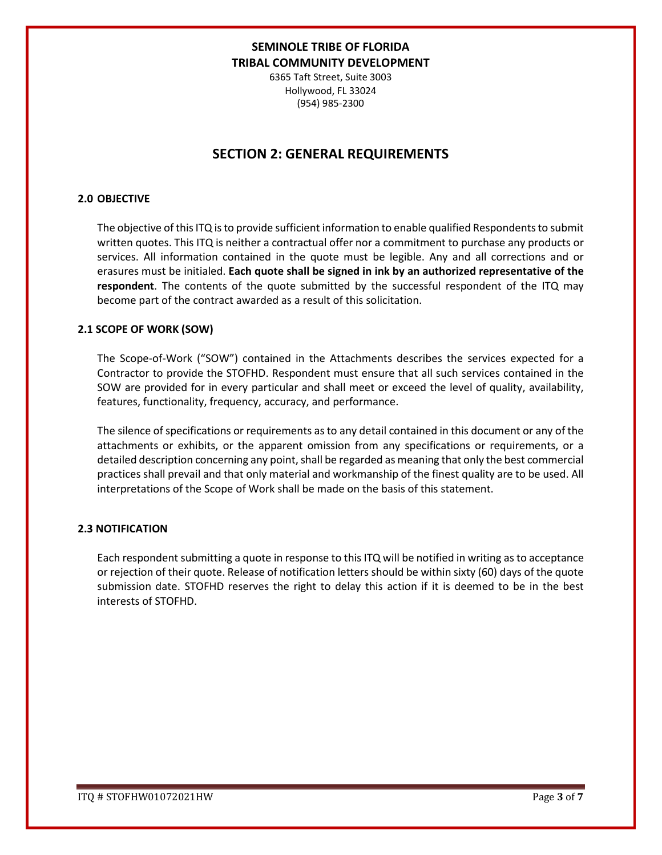6365 Taft Street, Suite 3003 Hollywood, FL 33024 (954) 985-2300

## **SECTION 2: GENERAL REQUIREMENTS**

#### **2.0 OBJECTIVE**

The objective of this ITQ is to provide sufficient information to enable qualified Respondents to submit written quotes. This ITQ is neither a contractual offer nor a commitment to purchase any products or services. All information contained in the quote must be legible. Any and all corrections and or erasures must be initialed. **Each quote shall be signed in ink by an authorized representative of the respondent**. The contents of the quote submitted by the successful respondent of the ITQ may become part of the contract awarded as a result of this solicitation.

### **2.1 SCOPE OF WORK (SOW)**

The Scope-of-Work ("SOW") contained in the Attachments describes the services expected for a Contractor to provide the STOFHD. Respondent must ensure that all such services contained in the SOW are provided for in every particular and shall meet or exceed the level of quality, availability, features, functionality, frequency, accuracy, and performance.

The silence of specifications or requirements as to any detail contained in this document or any of the attachments or exhibits, or the apparent omission from any specifications or requirements, or a detailed description concerning any point, shall be regarded as meaning that only the best commercial practices shall prevail and that only material and workmanship of the finest quality are to be used. All interpretations of the Scope of Work shall be made on the basis of this statement.

### **2.3 NOTIFICATION**

Each respondent submitting a quote in response to this ITQ will be notified in writing as to acceptance or rejection of their quote. Release of notification letters should be within sixty (60) days of the quote submission date. STOFHD reserves the right to delay this action if it is deemed to be in the best interests of STOFHD.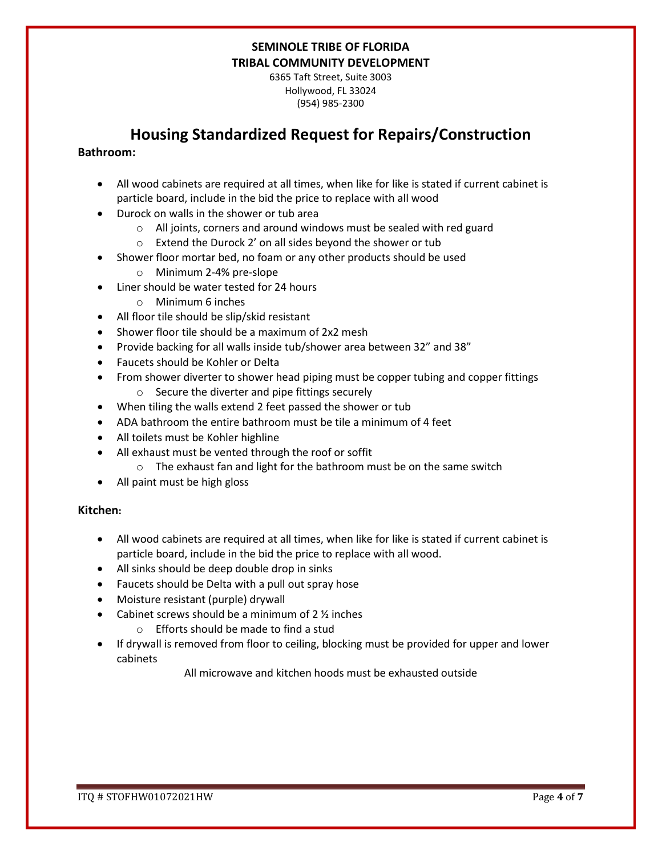6365 Taft Street, Suite 3003 Hollywood, FL 33024 (954) 985-2300

## **Housing Standardized Request for Repairs/Construction**

### **Bathroom:**

- All wood cabinets are required at all times, when like for like is stated if current cabinet is particle board, include in the bid the price to replace with all wood
- Durock on walls in the shower or tub area
	- o All joints, corners and around windows must be sealed with red guard
	- o Extend the Durock 2' on all sides beyond the shower or tub
- Shower floor mortar bed, no foam or any other products should be used
	- o Minimum 2-4% pre-slope
- Liner should be water tested for 24 hours
	- o Minimum 6 inches
- All floor tile should be slip/skid resistant
- Shower floor tile should be a maximum of 2x2 mesh
- Provide backing for all walls inside tub/shower area between 32" and 38"
- Faucets should be Kohler or Delta
- From shower diverter to shower head piping must be copper tubing and copper fittings o Secure the diverter and pipe fittings securely
- When tiling the walls extend 2 feet passed the shower or tub
- ADA bathroom the entire bathroom must be tile a minimum of 4 feet
- All toilets must be Kohler highline
- All exhaust must be vented through the roof or soffit
	- o The exhaust fan and light for the bathroom must be on the same switch
- All paint must be high gloss

### **Kitchen:**

- All wood cabinets are required at all times, when like for like is stated if current cabinet is particle board, include in the bid the price to replace with all wood.
- All sinks should be deep double drop in sinks
- Faucets should be Delta with a pull out spray hose
- Moisture resistant (purple) drywall
- Cabinet screws should be a minimum of  $2\frac{1}{2}$  inches
	- o Efforts should be made to find a stud
- If drywall is removed from floor to ceiling, blocking must be provided for upper and lower cabinets

All microwave and kitchen hoods must be exhausted outside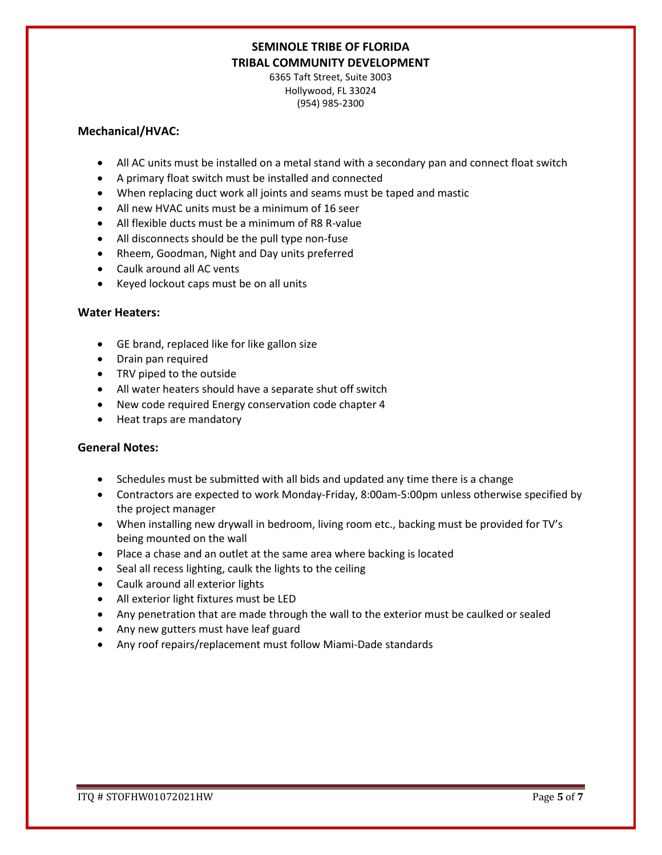6365 Taft Street, Suite 3003 Hollywood, FL 33024 (954) 985-2300

### **Mechanical/HVAC:**

- All AC units must be installed on a metal stand with a secondary pan and connect float switch
- A primary float switch must be installed and connected
- When replacing duct work all joints and seams must be taped and mastic
- All new HVAC units must be a minimum of 16 seer
- All flexible ducts must be a minimum of R8 R-value
- All disconnects should be the pull type non-fuse
- Rheem, Goodman, Night and Day units preferred
- Caulk around all AC vents
- Keyed lockout caps must be on all units

### **Water Heaters:**

- GE brand, replaced like for like gallon size
- Drain pan required
- TRV piped to the outside
- All water heaters should have a separate shut off switch
- New code required Energy conservation code chapter 4
- Heat traps are mandatory

### **General Notes:**

- Schedules must be submitted with all bids and updated any time there is a change
- Contractors are expected to work Monday-Friday, 8:00am-5:00pm unless otherwise specified by the project manager
- When installing new drywall in bedroom, living room etc., backing must be provided for TV's being mounted on the wall
- Place a chase and an outlet at the same area where backing is located
- Seal all recess lighting, caulk the lights to the ceiling
- Caulk around all exterior lights
- All exterior light fixtures must be LED
- Any penetration that are made through the wall to the exterior must be caulked or sealed
- Any new gutters must have leaf guard
- Any roof repairs/replacement must follow Miami-Dade standards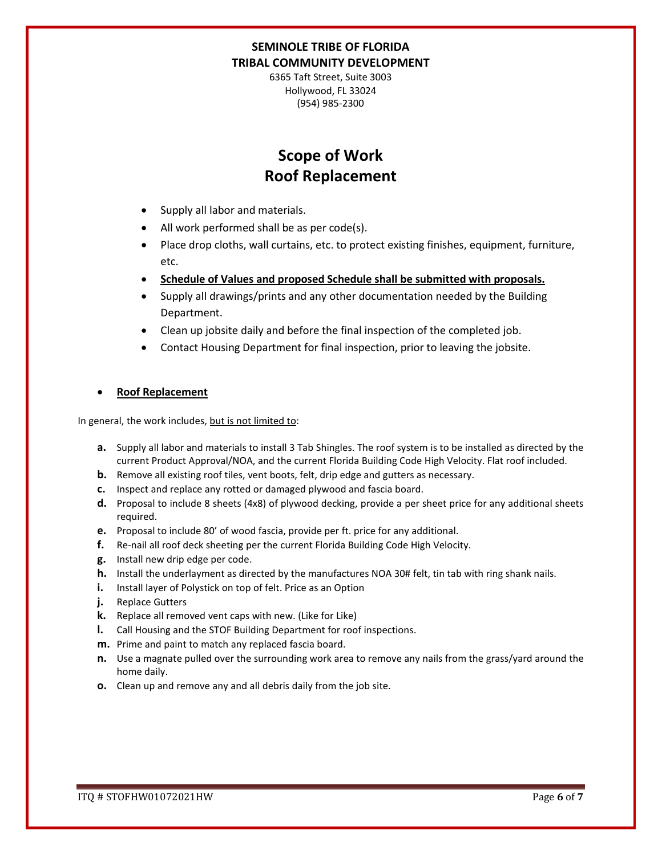6365 Taft Street, Suite 3003 Hollywood, FL 33024 (954) 985-2300

# **Scope of Work Roof Replacement**

- Supply all labor and materials.
- All work performed shall be as per code(s).
- Place drop cloths, wall curtains, etc. to protect existing finishes, equipment, furniture, etc.
- **Schedule of Values and proposed Schedule shall be submitted with proposals.**
- Supply all drawings/prints and any other documentation needed by the Building Department.
- Clean up jobsite daily and before the final inspection of the completed job.
- Contact Housing Department for final inspection, prior to leaving the jobsite.

### • **Roof Replacement**

In general, the work includes, but is not limited to:

- **a.** Supply all labor and materials to install 3 Tab Shingles. The roof system is to be installed as directed by the current Product Approval/NOA, and the current Florida Building Code High Velocity. Flat roof included.
- **b.** Remove all existing roof tiles, vent boots, felt, drip edge and gutters as necessary.
- **c.** Inspect and replace any rotted or damaged plywood and fascia board.
- **d.** Proposal to include 8 sheets (4x8) of plywood decking, provide a per sheet price for any additional sheets required.
- **e.** Proposal to include 80' of wood fascia, provide per ft. price for any additional.
- **f.** Re-nail all roof deck sheeting per the current Florida Building Code High Velocity.
- **g.** Install new drip edge per code.
- **h.** Install the underlayment as directed by the manufactures NOA 30# felt, tin tab with ring shank nails.
- **i.** Install layer of Polystick on top of felt. Price as an Option
- **j.** Replace Gutters
- **k.** Replace all removed vent caps with new. (Like for Like)
- **l.** Call Housing and the STOF Building Department for roof inspections.
- **m.** Prime and paint to match any replaced fascia board.
- **n.** Use a magnate pulled over the surrounding work area to remove any nails from the grass/yard around the home daily.
- **o.** Clean up and remove any and all debris daily from the job site.